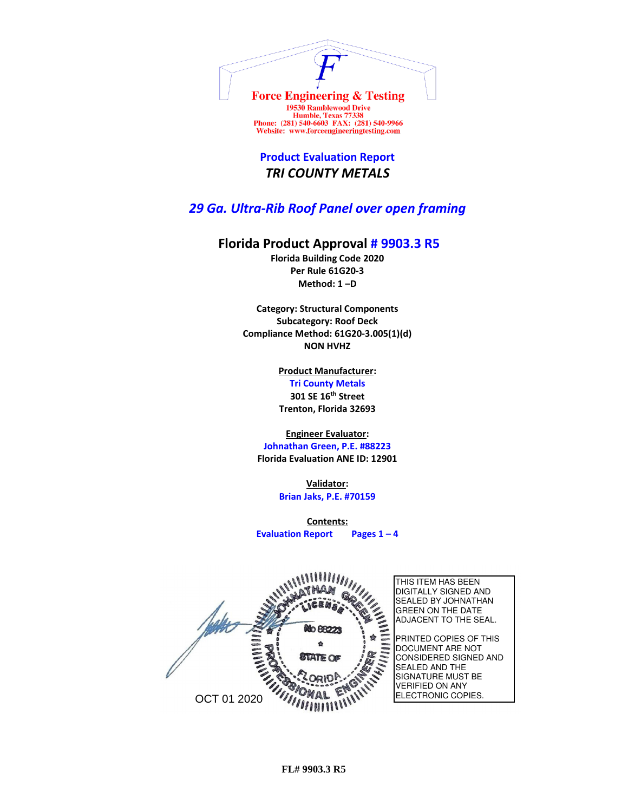

Humble, Texas 77338<br>Phone: (281) 540-6603 FAX: (281) 540-9966 Website: www.forceengineeringtesting.com

**Product Evaluation Report** *TRI COUNTY METALS*

## *29 Ga. Ultra-Rib Roof Panel over open framing*

## **Florida Product Approval # 9903.3 R5**

**Florida Building Code 2020 Per Rule 61G20-3 Method: 1 –D** 

**Category: Structural Components Subcategory: Roof Deck Compliance Method: 61G20-3.005(1)(d) NON HVHZ**

> **Product Manufacturer: Tri County Metals 301 SE 16th Street Trenton, Florida 32693**

## **Engineer Evaluator:**

**Johnathan Green, P.E. #88223 Florida Evaluation ANE ID: 12901**

> **Validator: Brian Jaks, P.E. #70159**

**Contents: Evaluation Report Pages 1 – 4**

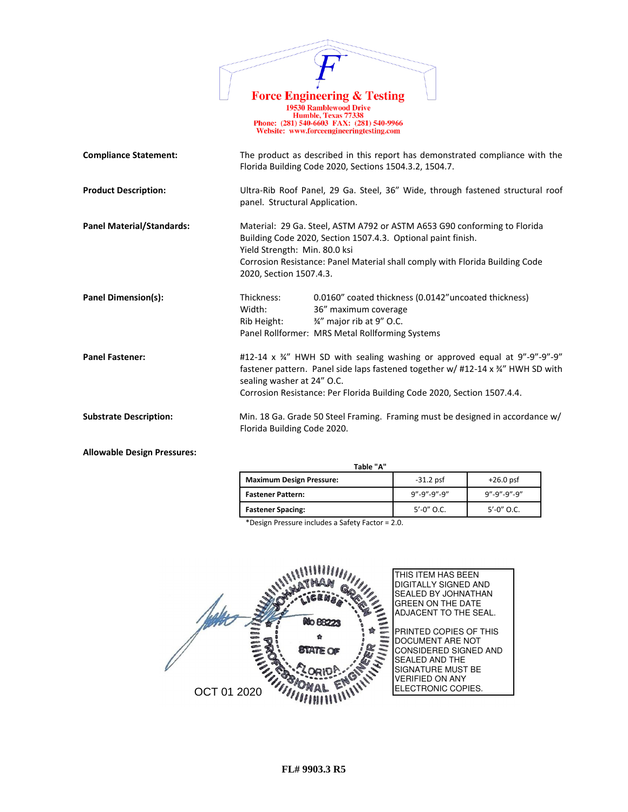| <b>Force Engineering &amp; Testing</b><br><b>19530 Ramblewood Drive</b><br>Humble, Texas 77338<br>Phone: (281) 540-6603 FAX: (281) 540-9966<br>Website: www.forceengineeringtesting.com |                                                          |                                                                                                                                                                                                                                         |  |  |
|-----------------------------------------------------------------------------------------------------------------------------------------------------------------------------------------|----------------------------------------------------------|-----------------------------------------------------------------------------------------------------------------------------------------------------------------------------------------------------------------------------------------|--|--|
| <b>Compliance Statement:</b>                                                                                                                                                            |                                                          | The product as described in this report has demonstrated compliance with the<br>Florida Building Code 2020, Sections 1504.3.2, 1504.7.                                                                                                  |  |  |
| <b>Product Description:</b>                                                                                                                                                             | panel. Structural Application.                           | Ultra-Rib Roof Panel, 29 Ga. Steel, 36" Wide, through fastened structural roof                                                                                                                                                          |  |  |
| <b>Panel Material/Standards:</b>                                                                                                                                                        | Yield Strength: Min. 80.0 ksi<br>2020, Section 1507.4.3. | Material: 29 Ga. Steel, ASTM A792 or ASTM A653 G90 conforming to Florida<br>Building Code 2020, Section 1507.4.3. Optional paint finish.<br>Corrosion Resistance: Panel Material shall comply with Florida Building Code                |  |  |
| Panel Dimension(s):                                                                                                                                                                     | Thickness:<br>Width:<br>Rib Height:                      | 0.0160" coated thickness (0.0142"uncoated thickness)<br>36" maximum coverage<br>3/4" major rib at 9" O.C.<br>Panel Rollformer: MRS Metal Rollforming Systems                                                                            |  |  |
| <b>Panel Fastener:</b>                                                                                                                                                                  | sealing washer at 24" O.C.                               | #12-14 x 34" HWH SD with sealing washing or approved equal at 9"-9"-9"-9"<br>fastener pattern. Panel side laps fastened together w/ #12-14 x 34" HWH SD with<br>Corrosion Resistance: Per Florida Building Code 2020, Section 1507.4.4. |  |  |
| <b>Substrate Description:</b>                                                                                                                                                           | Florida Building Code 2020.                              | Min. 18 Ga. Grade 50 Steel Framing. Framing must be designed in accordance w/                                                                                                                                                           |  |  |

**Allowable Design Pressures:**

| Table "A"                       |                         |                         |  |
|---------------------------------|-------------------------|-------------------------|--|
| <b>Maximum Design Pressure:</b> | $-31.2$ psf             | $+26.0$ psf             |  |
| <b>Fastener Pattern:</b>        | $9'' - 9'' - 9'' - 9''$ | $9'' - 9'' - 9'' - 9''$ |  |
| <b>Fastener Spacing:</b>        | $5' - 0''$ O.C.         | $5' - 0''$ O.C.         |  |

\*Design Pressure includes a Safety Factor = 2.0.

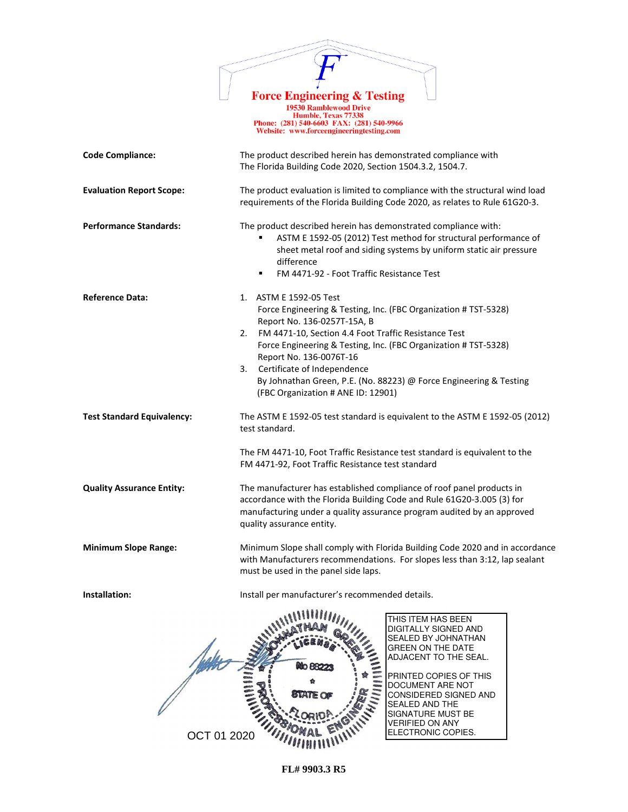

1978 Ramblewood Drive<br>
19530 Ramblewood Drive<br>
Humble, Texas 77338<br>
Phone: (281) 540-6603 FAX: (281) 540-9966<br>
Website: www.forceengineeringtesting.com

| <b>Code Compliance:</b>           | The product described herein has demonstrated compliance with<br>The Florida Building Code 2020, Section 1504.3.2, 1504.7.                                                                                                                                                                                                                                                                                                            |  |  |
|-----------------------------------|---------------------------------------------------------------------------------------------------------------------------------------------------------------------------------------------------------------------------------------------------------------------------------------------------------------------------------------------------------------------------------------------------------------------------------------|--|--|
| <b>Evaluation Report Scope:</b>   | The product evaluation is limited to compliance with the structural wind load<br>requirements of the Florida Building Code 2020, as relates to Rule 61G20-3.                                                                                                                                                                                                                                                                          |  |  |
| <b>Performance Standards:</b>     | The product described herein has demonstrated compliance with:<br>ASTM E 1592-05 (2012) Test method for structural performance of<br>sheet metal roof and siding systems by uniform static air pressure<br>difference<br>FM 4471-92 - Foot Traffic Resistance Test<br>٠                                                                                                                                                               |  |  |
| <b>Reference Data:</b>            | 1. ASTM E 1592-05 Test<br>Force Engineering & Testing, Inc. (FBC Organization # TST-5328)<br>Report No. 136-0257T-15A, B<br>FM 4471-10, Section 4.4 Foot Traffic Resistance Test<br>2.<br>Force Engineering & Testing, Inc. (FBC Organization # TST-5328)<br>Report No. 136-0076T-16<br>Certificate of Independence<br>3.<br>By Johnathan Green, P.E. (No. 88223) @ Force Engineering & Testing<br>(FBC Organization # ANE ID: 12901) |  |  |
| <b>Test Standard Equivalency:</b> | The ASTM E 1592-05 test standard is equivalent to the ASTM E 1592-05 (2012)<br>test standard.<br>The FM 4471-10, Foot Traffic Resistance test standard is equivalent to the<br>FM 4471-92, Foot Traffic Resistance test standard                                                                                                                                                                                                      |  |  |
| <b>Quality Assurance Entity:</b>  | The manufacturer has established compliance of roof panel products in<br>accordance with the Florida Building Code and Rule 61G20-3.005 (3) for<br>manufacturing under a quality assurance program audited by an approved<br>quality assurance entity.                                                                                                                                                                                |  |  |
| <b>Minimum Slope Range:</b>       | Minimum Slope shall comply with Florida Building Code 2020 and in accordance<br>with Manufacturers recommendations. For slopes less than 3:12, lap sealant<br>must be used in the panel side laps.                                                                                                                                                                                                                                    |  |  |
| Installation:                     | Install per manufacturer's recommended details.                                                                                                                                                                                                                                                                                                                                                                                       |  |  |
| OCT 01 2020                       | THIS ITEM HAS BEEN<br>DIGITALLY SIGNED AND<br>SEALED BY JOHNATHAN<br><b>GREEN ON THE DATE</b><br>ADJACENT TO THE SEAL.<br>PRINTED COPIES OF THIS<br>DOCUMENT ARE NOT<br>CONSIDERED SIGNED AND<br><b>SEALED AND THE</b><br>SIGNATURE MUST BE<br><b>VERIFIED ON ANY</b><br>ELECTRONIC COPIES.                                                                                                                                           |  |  |

**FL# 9903.3 R5**

OCT 01 2020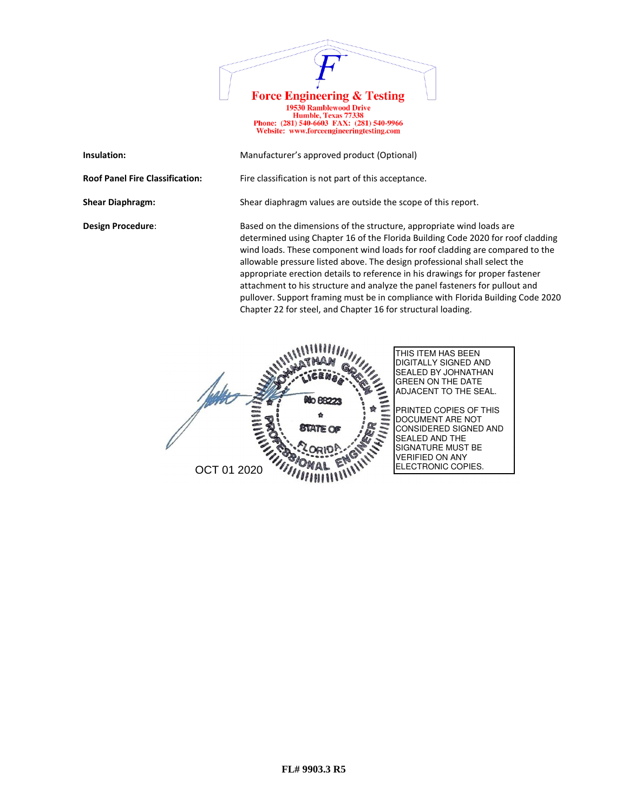

19730 Ramblewood Drive<br>
Humble, Texas 77338<br>
Phone: (281) 540-6603 FAX: (281) 540-9966<br>
Website: www.forceengineeringtesting.com

| Insulation:                            | Manufacturer's approved product (Optional)                                                                                                                                                                                                                                                                                                                                                                                                                                                                                                                                                                                              |
|----------------------------------------|-----------------------------------------------------------------------------------------------------------------------------------------------------------------------------------------------------------------------------------------------------------------------------------------------------------------------------------------------------------------------------------------------------------------------------------------------------------------------------------------------------------------------------------------------------------------------------------------------------------------------------------------|
| <b>Roof Panel Fire Classification:</b> | Fire classification is not part of this acceptance.                                                                                                                                                                                                                                                                                                                                                                                                                                                                                                                                                                                     |
| <b>Shear Diaphragm:</b>                | Shear diaphragm values are outside the scope of this report.                                                                                                                                                                                                                                                                                                                                                                                                                                                                                                                                                                            |
| <b>Design Procedure:</b>               | Based on the dimensions of the structure, appropriate wind loads are<br>determined using Chapter 16 of the Florida Building Code 2020 for roof cladding<br>wind loads. These component wind loads for roof cladding are compared to the<br>allowable pressure listed above. The design professional shall select the<br>appropriate erection details to reference in his drawings for proper fastener<br>attachment to his structure and analyze the panel fasteners for pullout and<br>pullover. Support framing must be in compliance with Florida Building Code 2020<br>Chapter 22 for steel, and Chapter 16 for structural loading. |